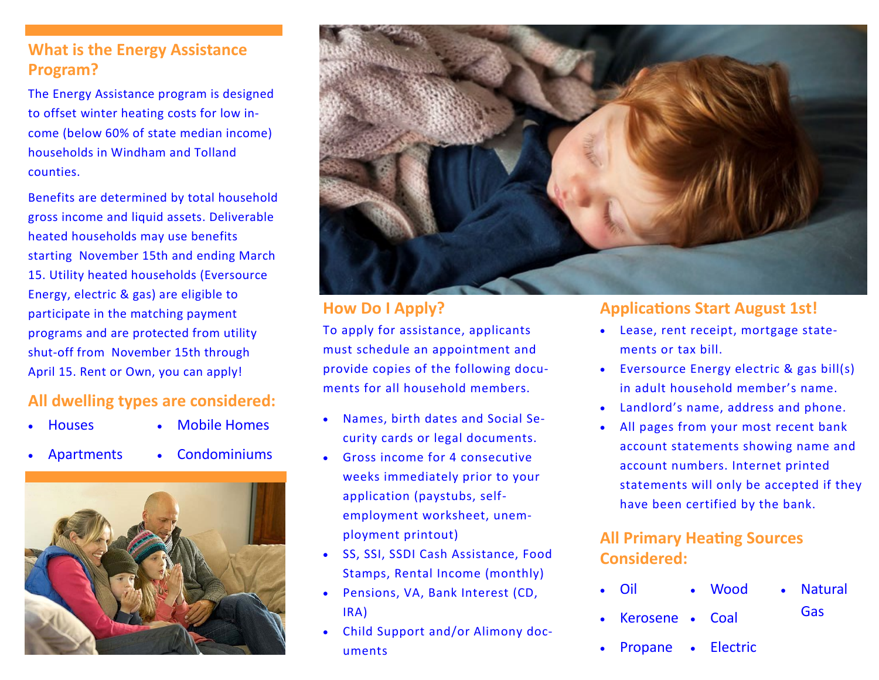### **What is the Energy Assistance Program?**

The Energy Assistance program is designed to offset winter heating costs for low income (below 60% of state median income) households in Windham and Tolland counties.

Benefits are determined by total household gross income and liquid assets. Deliverable heated households may use benefits starting November 15th and ending March 15. Utility heated households (Eversource Energy, electric & gas) are eligible to participate in the matching payment programs and are protected from utility shut-off from November 15th through April 15. Rent or Own, you can apply!

#### **All dwelling types are considered:**

- **Houses**
- Mobile Homes
- Apartments
- **Condominiums**





To apply for assistance, applicants must schedule an appointment and provide copies of the following documents for all household members.

- Names, birth dates and Social Security cards or legal documents.
- Gross income for 4 consecutive weeks immediately prior to your application (paystubs, selfemployment worksheet, unemployment printout)
- SS, SSI, SSDI Cash Assistance, Food Stamps, Rental Income (monthly)
- Pensions, VA, Bank Interest (CD, IRA)
- Child Support and/or Alimony documents

#### **How Do I Apply? Applications Start August 1st!**

- Lease, rent receipt, mortgage statements or tax bill.
- Eversource Energy electric & gas bill(s) in adult household member's name.
- Landlord's name, address and phone.
- All pages from your most recent bank account statements showing name and account numbers. Internet printed statements will only be accepted if they have been certified by the bank.

### **All Primary Heating Sources Considered:**

- Oil **Wood Natural**
- Kerosene Coal Gas
- Propane Electric